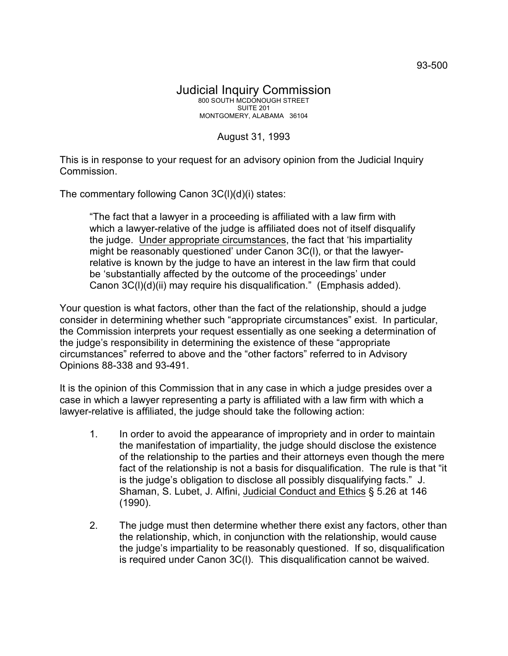## August 31, 1993

This is in response to your request for an advisory opinion from the Judicial Inquiry Commission.

The commentary following Canon 3C(l)(d)(i) states:

"The fact that a lawyer in a proceeding is affiliated with a law firm with which a lawyer-relative of the judge is affiliated does not of itself disqualify the judge. Under appropriate circumstances, the fact that 'his impartiality might be reasonably questioned' under Canon 3C(l), or that the lawyerrelative is known by the judge to have an interest in the law firm that could be 'substantially affected by the outcome of the proceedings' under Canon 3C(l)(d)(ii) may require his disqualification." (Emphasis added).

Your question is what factors, other than the fact of the relationship, should a judge consider in determining whether such "appropriate circumstances" exist. In particular, the Commission interprets your request essentially as one seeking a determination of the judge's responsibility in determining the existence of these "appropriate circumstances" referred to above and the "other factors" referred to in Advisory Opinions 88-338 and 93-491.

It is the opinion of this Commission that in any case in which a judge presides over a case in which a lawyer representing a party is affiliated with a law firm with which a lawyer-relative is affiliated, the judge should take the following action:

- 1. In order to avoid the appearance of impropriety and in order to maintain the manifestation of impartiality, the judge should disclose the existence of the relationship to the parties and their attorneys even though the mere fact of the relationship is not a basis for disqualification. The rule is that "it is the judge's obligation to disclose all possibly disqualifying facts." J. Shaman, S. Lubet, J. Alfini, Judicial Conduct and Ethics § 5.26 at 146 (1990).
- 2. The judge must then determine whether there exist any factors, other than the relationship, which, in conjunction with the relationship, would cause the judge's impartiality to be reasonably questioned. If so, disqualification is required under Canon 3C(l). This disqualification cannot be waived.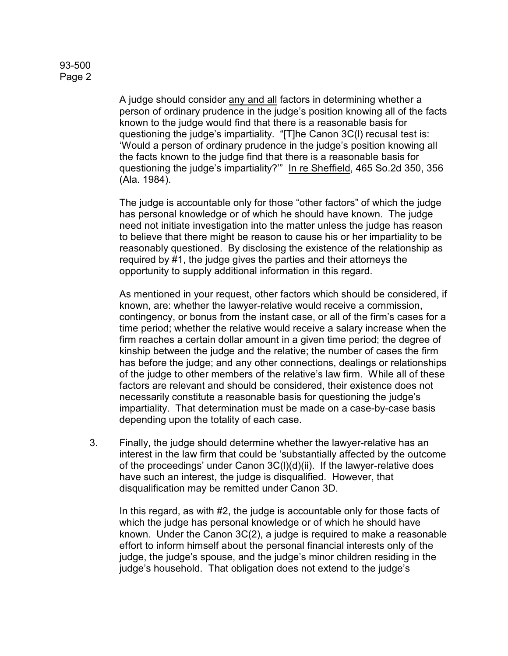A judge should consider any and all factors in determining whether a person of ordinary prudence in the judge's position knowing all of the facts known to the judge would find that there is a reasonable basis for questioning the judge's impartiality. "[T]he Canon 3C(l) recusal test is: 'Would a person of ordinary prudence in the judge's position knowing all the facts known to the judge find that there is a reasonable basis for questioning the judge's impartiality?'" In re Sheffield, 465 So.2d 350, 356 (Ala. 1984).

The judge is accountable only for those "other factors" of which the judge has personal knowledge or of which he should have known. The judge need not initiate investigation into the matter unless the judge has reason to believe that there might be reason to cause his or her impartiality to be reasonably questioned. By disclosing the existence of the relationship as required by #1, the judge gives the parties and their attorneys the opportunity to supply additional information in this regard.

As mentioned in your request, other factors which should be considered, if known, are: whether the lawyer-relative would receive a commission, contingency, or bonus from the instant case, or all of the firm's cases for a time period; whether the relative would receive a salary increase when the firm reaches a certain dollar amount in a given time period; the degree of kinship between the judge and the relative; the number of cases the firm has before the judge; and any other connections, dealings or relationships of the judge to other members of the relative's law firm. While all of these factors are relevant and should be considered, their existence does not necessarily constitute a reasonable basis for questioning the judge's impartiality. That determination must be made on a case-by-case basis depending upon the totality of each case.

3. Finally, the judge should determine whether the lawyer-relative has an interest in the law firm that could be 'substantially affected by the outcome of the proceedings' under Canon 3C(l)(d)(ii). If the lawyer-relative does have such an interest, the judge is disqualified. However, that disqualification may be remitted under Canon 3D.

In this regard, as with #2, the judge is accountable only for those facts of which the judge has personal knowledge or of which he should have known. Under the Canon 3C(2), a judge is required to make a reasonable effort to inform himself about the personal financial interests only of the judge, the judge's spouse, and the judge's minor children residing in the judge's household. That obligation does not extend to the judge's